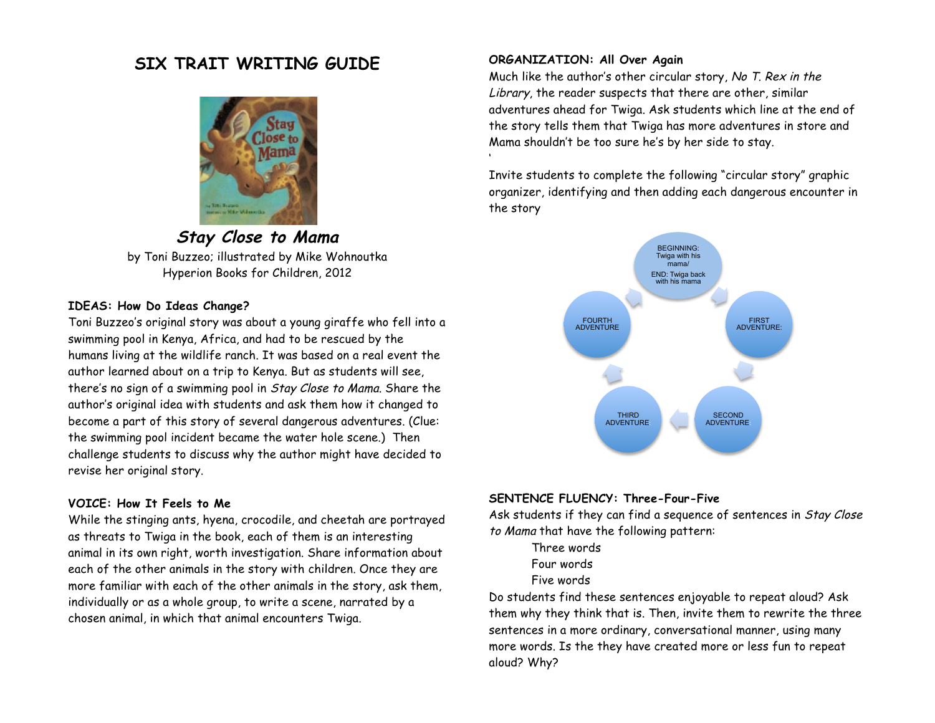# **SIX TRAIT WRITING GUIDE**



**Stay Close to Mama** by Toni Buzzeo; illustrated by Mike Wohnoutka Hyperion Books for Children, 2012

#### **IDEAS: How Do Ideas Change?**

Toni Buzzeo's original story was about a young giraffe who fell into a swimming pool in Kenya, Africa, and had to be rescued by the humans living at the wildlife ranch. It was based on a real event the author learned about on a trip to Kenya. But as students will see, there's no sign of a swimming pool in Stay Close to Mama. Share the author's original idea with students and ask them how it changed to become a part of this story of several dangerous adventures. (Clue: the swimming pool incident became the water hole scene.) Then challenge students to discuss why the author might have decided to revise her original story.

## **VOICE: How It Feels to Me**

While the stinging ants, hyena, crocodile, and cheetah are portrayed as threats to Twiga in the book, each of them is an interesting animal in its own right, worth investigation. Share information about each of the other animals in the story with children. Once they are more familiar with each of the other animals in the story, ask them, individually or as a whole group, to write a scene, narrated by a chosen animal, in which that animal encounters Twiga.

## **ORGANIZATION: All Over Again**

'

Much like the author's other circular story, No T. Rex in the Library, the reader suspects that there are other, similar adventures ahead for Twiga. Ask students which line at the end of the story tells them that Twiga has more adventures in store and Mama shouldn't be too sure he's by her side to stay.

Invite students to complete the following "circular story" graphic organizer, identifying and then adding each dangerous encounter in the story



## **SENTENCE FLUENCY: Three-Four-Five**

Ask students if they can find a sequence of sentences in Stay Close to Mama that have the following pattern:

- Three words
- Four words
- Five words

Do students find these sentences enjoyable to repeat aloud? Ask them why they think that is. Then, invite them to rewrite the three sentences in a more ordinary, conversational manner, using many more words. Is the they have created more or less fun to repeat aloud? Why?